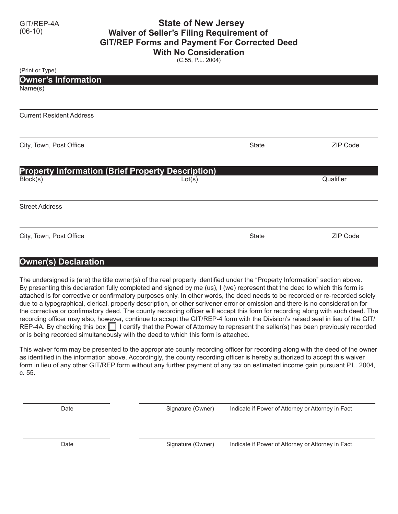## GIT/REP-4A **State of New Jersey Waiver of Seller's Filing Requirement of GIT/REP Forms and Payment For Corrected Deed With No Consideration**

(C.55, P.L. 2004)

| (Print or Type)                                          |        |              |                 |
|----------------------------------------------------------|--------|--------------|-----------------|
| <b>Owner's Information</b>                               |        |              |                 |
| Name(s)                                                  |        |              |                 |
|                                                          |        |              |                 |
|                                                          |        |              |                 |
| <b>Current Resident Address</b>                          |        |              |                 |
|                                                          |        |              |                 |
| City, Town, Post Office                                  |        | <b>State</b> | ZIP Code        |
|                                                          |        |              |                 |
|                                                          |        |              |                 |
| <b>Property Information (Brief Property Description)</b> |        |              |                 |
| Block(s)                                                 | Lot(s) |              | Qualifier       |
|                                                          |        |              |                 |
| <b>Street Address</b>                                    |        |              |                 |
|                                                          |        |              |                 |
| City, Town, Post Office                                  |        | <b>State</b> | <b>ZIP Code</b> |
|                                                          |        |              |                 |

## **Owner(s) Declaration**

The undersigned is (are) the title owner(s) of the real property identified under the "Property Information" section above. By presenting this declaration fully completed and signed by me (us), I (we) represent that the deed to which this form is attached is for corrective or confirmatory purposes only. In other words, the deed needs to be recorded or re-recorded solely due to a typographical, clerical, property description, or other scrivener error or omission and there is no consideration for the corrective or confirmatory deed. The county recording officer will accept this form for recording along with such deed. The recording officer may also, however, continue to accept the GIT/REP-4 form with the Division's raised seal in lieu of the GIT/ REP-4A. By checking this box  $\Box$  I certify that the Power of Attorney to represent the seller(s) has been previously recorded or is being recorded simultaneously with the deed to which this form is attached.

This waiver form may be presented to the appropriate county recording officer for recording along with the deed of the owner as identified in the information above. Accordingly, the county recording officer is hereby authorized to accept this waiver form in lieu of any other GIT/REP form without any further payment of any tax on estimated income gain pursuant P.L. 2004, c. 55.

Date **Signature (Owner)** Indicate if Power of Attorney or Attorney in Fact